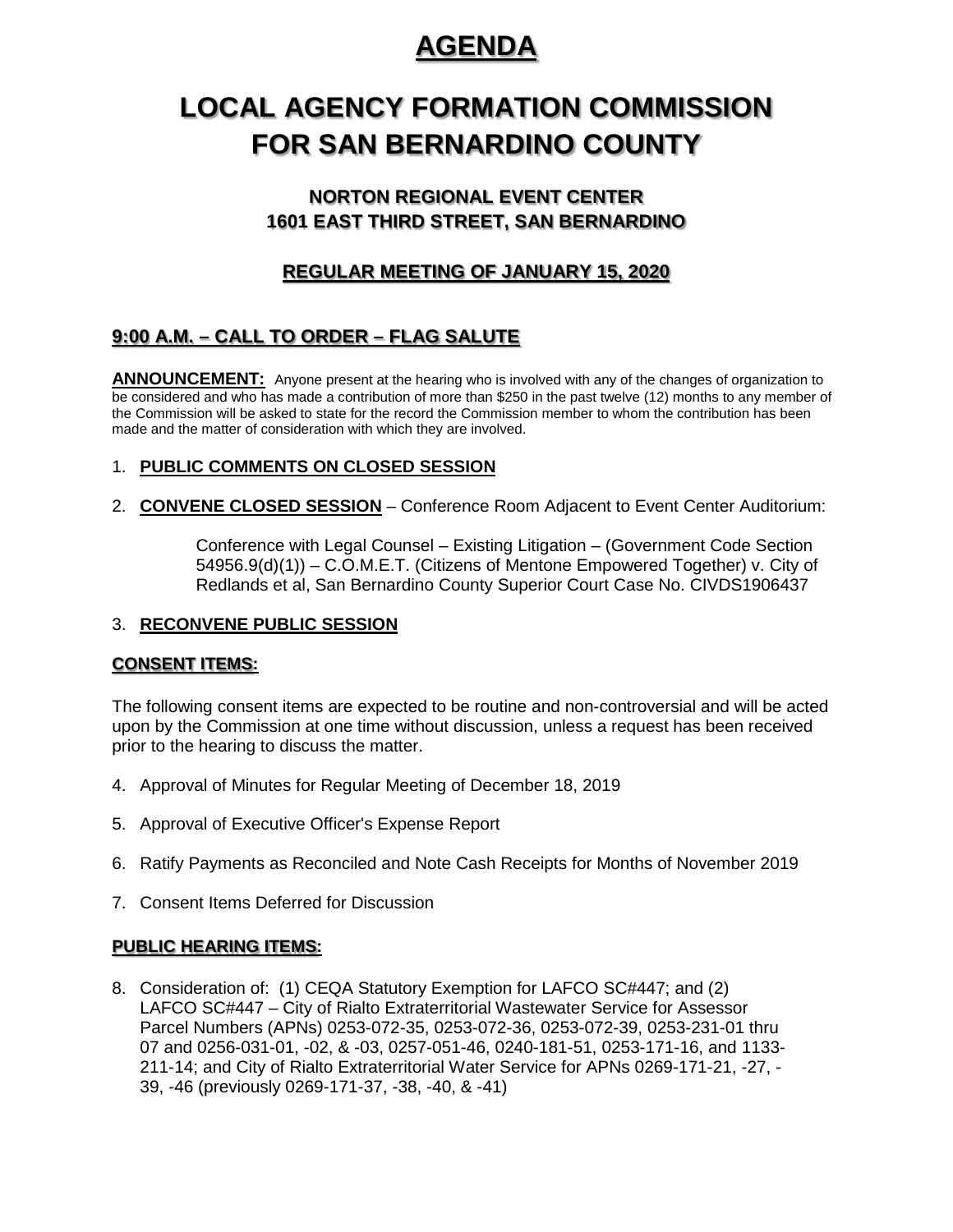# **AGENDA**

# **LOCAL AGENCY FORMATION COMMISSION FOR SAN BERNARDINO COUNTY**

## **NORTON REGIONAL EVENT CENTER 1601 EAST THIRD STREET, SAN BERNARDINO**

## **REGULAR MEETING OF JANUARY 15, 2020**

## **9:00 A.M. – CALL TO ORDER – FLAG SALUTE**

**ANNOUNCEMENT:** Anyone present at the hearing who is involved with any of the changes of organization to be considered and who has made a contribution of more than \$250 in the past twelve (12) months to any member of the Commission will be asked to state for the record the Commission member to whom the contribution has been made and the matter of consideration with which they are involved.

### 1. **PUBLIC COMMENTS ON CLOSED SESSION**

2. **CONVENE CLOSED SESSION** – Conference Room Adjacent to Event Center Auditorium:

Conference with Legal Counsel – Existing Litigation – (Government Code Section 54956.9(d)(1)) – C.O.M.E.T. (Citizens of Mentone Empowered Together) v. City of Redlands et al, San Bernardino County Superior Court Case No. CIVDS1906437

#### 3. **RECONVENE PUBLIC SESSION**

### **CONSENT ITEMS:**

The following consent items are expected to be routine and non-controversial and will be acted upon by the Commission at one time without discussion, unless a request has been received prior to the hearing to discuss the matter.

- 4. Approval of Minutes for Regular Meeting of December 18, 2019
- 5. Approval of Executive Officer's Expense Report
- 6. Ratify Payments as Reconciled and Note Cash Receipts for Months of November 2019
- 7. Consent Items Deferred for Discussion

### **PUBLIC HEARING ITEMS:**

8. Consideration of: (1) CEQA Statutory Exemption for LAFCO SC#447; and (2) LAFCO SC#447 – City of Rialto Extraterritorial Wastewater Service for Assessor Parcel Numbers (APNs) 0253-072-35, 0253-072-36, 0253-072-39, 0253-231-01 thru 07 and 0256-031-01, -02, & -03, 0257-051-46, 0240-181-51, 0253-171-16, and 1133- 211-14; and City of Rialto Extraterritorial Water Service for APNs 0269-171-21, -27, - 39, -46 (previously 0269-171-37, -38, -40, & -41)